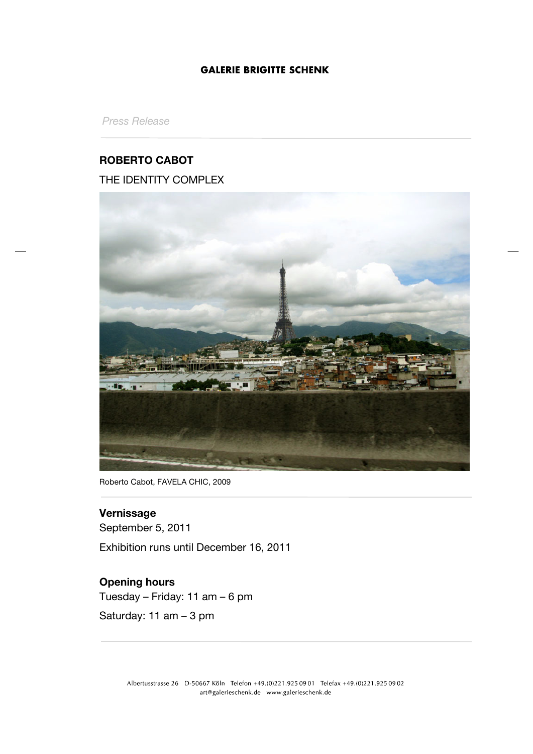*Press Release*

## **ROBERTO CABOT**

THE IDENTITY COMPLEX



Roberto Cabot, FAVELA CHIC, 2009

# **Vernissage**

September 5, 2011 Exhibition runs until December 16, 2011

# **Opening hours**

Tuesday – Friday: 11 am – 6 pm

Saturday: 11 am – 3 pm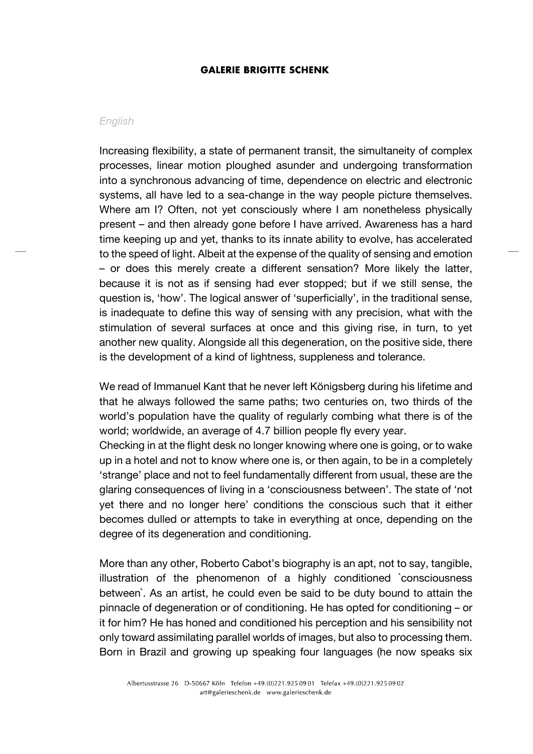#### *English*

Increasing flexibility, a state of permanent transit, the simultaneity of complex processes, linear motion ploughed asunder and undergoing transformation into a synchronous advancing of time, dependence on electric and electronic systems, all have led to a sea-change in the way people picture themselves. Where am I? Often, not yet consciously where I am nonetheless physically present – and then already gone before I have arrived. Awareness has a hard time keeping up and yet, thanks to its innate ability to evolve, has accelerated to the speed of light. Albeit at the expense of the quality of sensing and emotion – or does this merely create a different sensation? More likely the latter, because it is not as if sensing had ever stopped; but if we still sense, the question is, 'how'. The logical answer of 'superficially', in the traditional sense, is inadequate to define this way of sensing with any precision, what with the stimulation of several surfaces at once and this giving rise, in turn, to yet another new quality. Alongside all this degeneration, on the positive side, there is the development of a kind of lightness, suppleness and tolerance.

We read of Immanuel Kant that he never left Königsberg during his lifetime and that he always followed the same paths; two centuries on, two thirds of the world's population have the quality of regularly combing what there is of the world; worldwide, an average of 4.7 billion people fly every year.

Checking in at the flight desk no longer knowing where one is going, or to wake up in a hotel and not to know where one is, or then again, to be in a completely 'strange' place and not to feel fundamentally different from usual, these are the glaring consequences of living in a 'consciousness between'. The state of 'not yet there and no longer here' conditions the conscious such that it either becomes dulled or attempts to take in everything at once, depending on the degree of its degeneration and conditioning.

More than any other, Roberto Cabot's biography is an apt, not to say, tangible, illustration of the phenomenon of a highly conditioned `consciousness between`. As an artist, he could even be said to be duty bound to attain the pinnacle of degeneration or of conditioning. He has opted for conditioning – or it for him? He has honed and conditioned his perception and his sensibility not only toward assimilating parallel worlds of images, but also to processing them. Born in Brazil and growing up speaking four languages (he now speaks six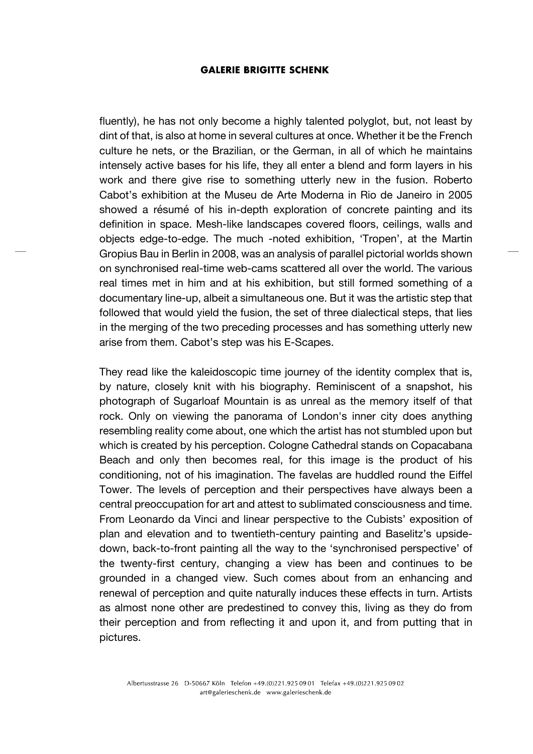fluently), he has not only become a highly talented polyglot, but, not least by dint of that, is also at home in several cultures at once. Whether it be the French culture he nets, or the Brazilian, or the German, in all of which he maintains intensely active bases for his life, they all enter a blend and form layers in his work and there give rise to something utterly new in the fusion. Roberto Cabot's exhibition at the Museu de Arte Moderna in Rio de Janeiro in 2005 showed a résumé of his in-depth exploration of concrete painting and its definition in space. Mesh-like landscapes covered floors, ceilings, walls and objects edge-to-edge. The much -noted exhibition, 'Tropen', at the Martin Gropius Bau in Berlin in 2008, was an analysis of parallel pictorial worlds shown on synchronised real-time web-cams scattered all over the world. The various real times met in him and at his exhibition, but still formed something of a documentary line-up, albeit a simultaneous one. But it was the artistic step that followed that would yield the fusion, the set of three dialectical steps, that lies in the merging of the two preceding processes and has something utterly new arise from them. Cabot's step was his E-Scapes.

They read like the kaleidoscopic time journey of the identity complex that is, by nature, closely knit with his biography. Reminiscent of a snapshot, his photograph of Sugarloaf Mountain is as unreal as the memory itself of that rock. Only on viewing the panorama of London's inner city does anything resembling reality come about, one which the artist has not stumbled upon but which is created by his perception. Cologne Cathedral stands on Copacabana Beach and only then becomes real, for this image is the product of his conditioning, not of his imagination. The favelas are huddled round the Eiffel Tower. The levels of perception and their perspectives have always been a central preoccupation for art and attest to sublimated consciousness and time. From Leonardo da Vinci and linear perspective to the Cubists' exposition of plan and elevation and to twentieth-century painting and Baselitz's upsidedown, back-to-front painting all the way to the 'synchronised perspective' of the twenty-first century, changing a view has been and continues to be grounded in a changed view. Such comes about from an enhancing and renewal of perception and quite naturally induces these effects in turn. Artists as almost none other are predestined to convey this, living as they do from their perception and from reflecting it and upon it, and from putting that in pictures.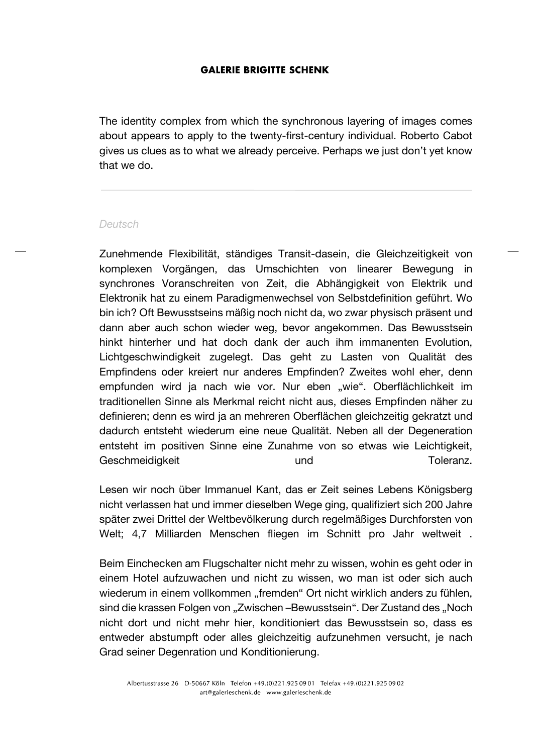The identity complex from which the synchronous layering of images comes about appears to apply to the twenty-first-century individual. Roberto Cabot gives us clues as to what we already perceive. Perhaps we just don't yet know that we do.

#### *Deutsch*

Zunehmende Flexibilität, ständiges Transit-dasein, die Gleichzeitigkeit von komplexen Vorgängen, das Umschichten von linearer Bewegung in synchrones Voranschreiten von Zeit, die Abhängigkeit von Elektrik und Elektronik hat zu einem Paradigmenwechsel von Selbstdefinition geführt. Wo bin ich? Oft Bewusstseins mäßig noch nicht da, wo zwar physisch präsent und dann aber auch schon wieder weg, bevor angekommen. Das Bewusstsein hinkt hinterher und hat doch dank der auch ihm immanenten Evolution, Lichtgeschwindigkeit zugelegt. Das geht zu Lasten von Qualität des Empfindens oder kreiert nur anderes Empfinden? Zweites wohl eher, denn empfunden wird ja nach wie vor. Nur eben "wie". Oberflächlichkeit im traditionellen Sinne als Merkmal reicht nicht aus, dieses Empfinden näher zu definieren; denn es wird ja an mehreren Oberflächen gleichzeitig gekratzt und dadurch entsteht wiederum eine neue Qualität. Neben all der Degeneration entsteht im positiven Sinne eine Zunahme von so etwas wie Leichtigkeit, Geschmeidigkeit und und Einer Toleranz.

Lesen wir noch über Immanuel Kant, das er Zeit seines Lebens Königsberg nicht verlassen hat und immer dieselben Wege ging, qualifiziert sich 200 Jahre später zwei Drittel der Weltbevölkerung durch regelmäßiges Durchforsten von Welt; 4,7 Milliarden Menschen fliegen im Schnitt pro Jahr weltweit .

Beim Einchecken am Flugschalter nicht mehr zu wissen, wohin es geht oder in einem Hotel aufzuwachen und nicht zu wissen, wo man ist oder sich auch wiederum in einem vollkommen "fremden" Ort nicht wirklich anders zu fühlen, sind die krassen Folgen von "Zwischen –Bewusstsein". Der Zustand des "Noch nicht dort und nicht mehr hier, konditioniert das Bewusstsein so, dass es entweder abstumpft oder alles gleichzeitig aufzunehmen versucht, je nach Grad seiner Degenration und Konditionierung.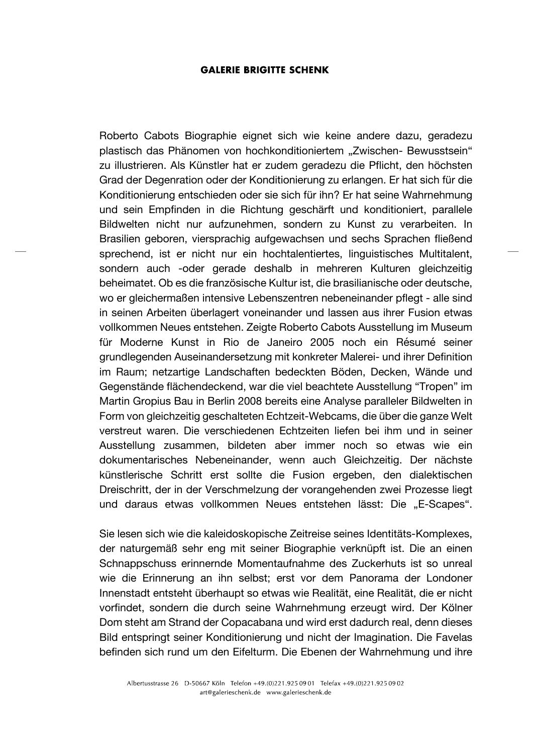Roberto Cabots Biographie eignet sich wie keine andere dazu, geradezu plastisch das Phänomen von hochkonditioniertem "Zwischen- Bewusstsein" zu illustrieren. Als Künstler hat er zudem geradezu die Pflicht, den höchsten Grad der Degenration oder der Konditionierung zu erlangen. Er hat sich für die Konditionierung entschieden oder sie sich für ihn? Er hat seine Wahrnehmung und sein Empfinden in die Richtung geschärft und konditioniert, parallele Bildwelten nicht nur aufzunehmen, sondern zu Kunst zu verarbeiten. In Brasilien geboren, viersprachig aufgewachsen und sechs Sprachen fließend sprechend, ist er nicht nur ein hochtalentiertes, linguistisches Multitalent, sondern auch -oder gerade deshalb in mehreren Kulturen gleichzeitig beheimatet. Ob es die französische Kultur ist, die brasilianische oder deutsche, wo er gleichermaßen intensive Lebenszentren nebeneinander pflegt - alle sind in seinen Arbeiten überlagert voneinander und lassen aus ihrer Fusion etwas vollkommen Neues entstehen. Zeigte Roberto Cabots Ausstellung im Museum für Moderne Kunst in Rio de Janeiro 2005 noch ein Résumé seiner grundlegenden Auseinandersetzung mit konkreter Malerei- und ihrer Definition im Raum; netzartige Landschaften bedeckten Böden, Decken, Wände und Gegenstände flächendeckend, war die viel beachtete Ausstellung "Tropen" im Martin Gropius Bau in Berlin 2008 bereits eine Analyse paralleler Bildwelten in Form von gleichzeitig geschalteten Echtzeit-Webcams, die über die ganze Welt verstreut waren. Die verschiedenen Echtzeiten liefen bei ihm und in seiner Ausstellung zusammen, bildeten aber immer noch so etwas wie ein dokumentarisches Nebeneinander, wenn auch Gleichzeitig. Der nächste künstlerische Schritt erst sollte die Fusion ergeben, den dialektischen Dreischritt, der in der Verschmelzung der vorangehenden zwei Prozesse liegt und daraus etwas vollkommen Neues entstehen lässt: Die "E-Scapes".

Sie lesen sich wie die kaleidoskopische Zeitreise seines Identitäts-Komplexes, der naturgemäß sehr eng mit seiner Biographie verknüpft ist. Die an einen Schnappschuss erinnernde Momentaufnahme des Zuckerhuts ist so unreal wie die Erinnerung an ihn selbst; erst vor dem Panorama der Londoner Innenstadt entsteht überhaupt so etwas wie Realität, eine Realität, die er nicht vorfindet, sondern die durch seine Wahrnehmung erzeugt wird. Der Kölner Dom steht am Strand der Copacabana und wird erst dadurch real, denn dieses Bild entspringt seiner Konditionierung und nicht der Imagination. Die Favelas befinden sich rund um den Eifelturm. Die Ebenen der Wahrnehmung und ihre